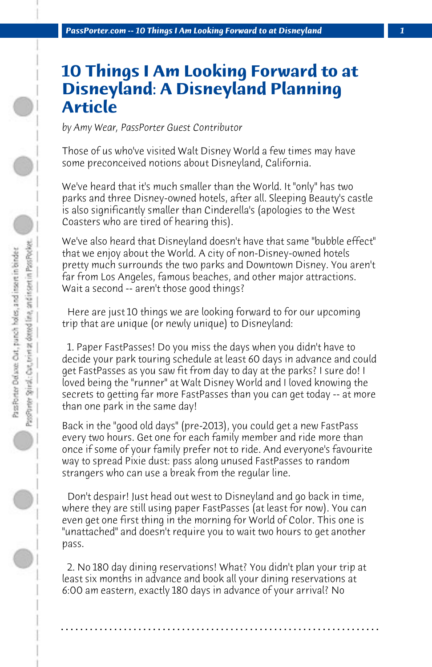## **10 Things I Am Looking Forward to at Disneyland: A Disneyland Planning Article**

*by Amy Wear, PassPorter Guest Contributor*

Those of us who've visited Walt Disney World a few times may have some preconceived notions about Disneyland, California.

We've heard that it's much smaller than the World. It "only" has two parks and three Disney-owned hotels, after all. Sleeping Beauty's castle is also significantly smaller than Cinderella's (apologies to the West Coasters who are tired of hearing this).

We've also heard that Disneyland doesn't have that same "bubble effect" that we enjoy about the World. A city of non-Disney-owned hotels pretty much surrounds the two parks and Downtown Disney. You aren't far from Los Angeles, famous beaches, and other major attractions. Wait a second -- aren't those good things?

 Here are just 10 things we are looking forward to for our upcoming trip that are unique (or newly unique) to Disneyland:

 1. Paper FastPasses! Do you miss the days when you didn't have to decide your park touring schedule at least 60 days in advance and could get FastPasses as you saw fit from day to day at the parks? I sure do! I loved being the "runner" at Walt Disney World and I loved knowing the secrets to getting far more FastPasses than you can get today -- at more than one park in the same day!

Back in the "good old days" (pre-2013), you could get a new FastPass every two hours. Get one for each family member and ride more than once if some of your family prefer not to ride. And everyone's favourite way to spread Pixie dust: pass along unused FastPasses to random strangers who can use a break from the regular line.

 Don't despair! Just head out west to Disneyland and go back in time, where they are still using paper FastPasses (at least for now). You can even get one first thing in the morning for World of Color. This one is "unattached" and doesn't require you to wait two hours to get another pass.

 2. No 180 day dining reservations! What? You didn't plan your trip at least six months in advance and book all your dining reservations at 6:00 am eastern, exactly 180 days in advance of your arrival? No

**. . . . . . . . . . . . . . . . . . . . . . . . . . . . . . . . . . . . . . . . . . . . . . . . . . . . . . . . . . . . . . . . . .**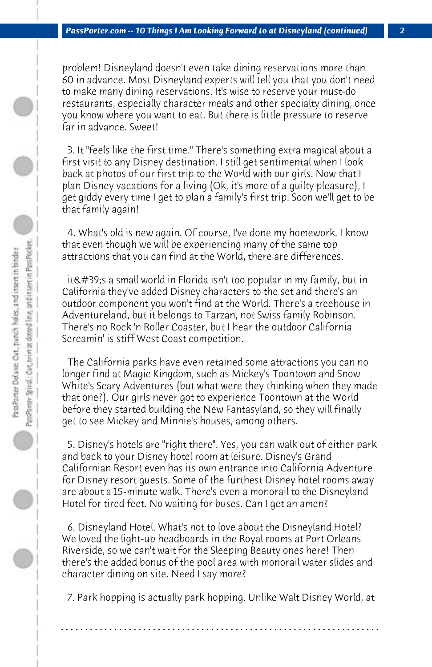problem! Disneyland doesn't even take dining reservations more than 60 in advance. Most Disneyland experts will tell you that you don't need to make many dining reservations. It's wise to reserve your must-do restaurants, especially character meals and other specialty dining, once you know where you want to eat. But there is little pressure to reserve far in advance. Sweet!

 3. It "feels like the first time." There's something extra magical about a first visit to any Disney destination. I still get sentimental when I look back at photos of our first trip to the World with our girls. Now that I plan Disney vacations for a living (Ok, it's more of a guilty pleasure), I get giddy every time I get to plan a family's first trip. Soon we'll get to be that family again!

 4. What's old is new again. Of course, I've done my homework. I know that even though we will be experiencing many of the same top attractions that you can find at the World, there are differences.

it's a small world in Florida isn't too popular in my family, but in California they've added Disney characters to the set and there's an outdoor component you won't find at the World. There's a treehouse in Adventureland, but it belongs to Tarzan, not Swiss family Robinson. There's no Rock 'n Roller Coaster, but I hear the outdoor California Screamin' is stiff West Coast competition.

 The California parks have even retained some attractions you can no longer find at Magic Kingdom, such as Mickey's Toontown and Snow White's Scary Adventures (but what were they thinking when they made that one?). Our girls never got to experience Toontown at the World before they started building the New Fantasyland, so they will finally get to see Mickey and Minnie's houses, among others.

 5. Disney's hotels are "right there". Yes, you can walk out of either park and back to your Disney hotel room at leisure. Disney's Grand Californian Resort even has its own entrance into California Adventure for Disney resort guests. Some of the furthest Disney hotel rooms away are about a 15-minute walk. There's even a monorail to the Disneyland Hotel for tired feet. No waiting for buses. Can I get an amen?

 6. Disneyland Hotel. What's not to love about the Disneyland Hotel? We loved the light-up headboards in the Royal rooms at Port Orleans Riverside, so we can't wait for the Sleeping Beauty ones here! Then there's the added bonus of the pool area with monorail water slides and character dining on site. Need I say more?

 7. Park hopping is actually park hopping. Unlike Walt Disney World, at

**. . . . . . . . . . . . . . . . . . . . . . . . . . . . . . . . . . . . . . . . . . . . . . . . . . . . . . . . . . . . . . . . . .**